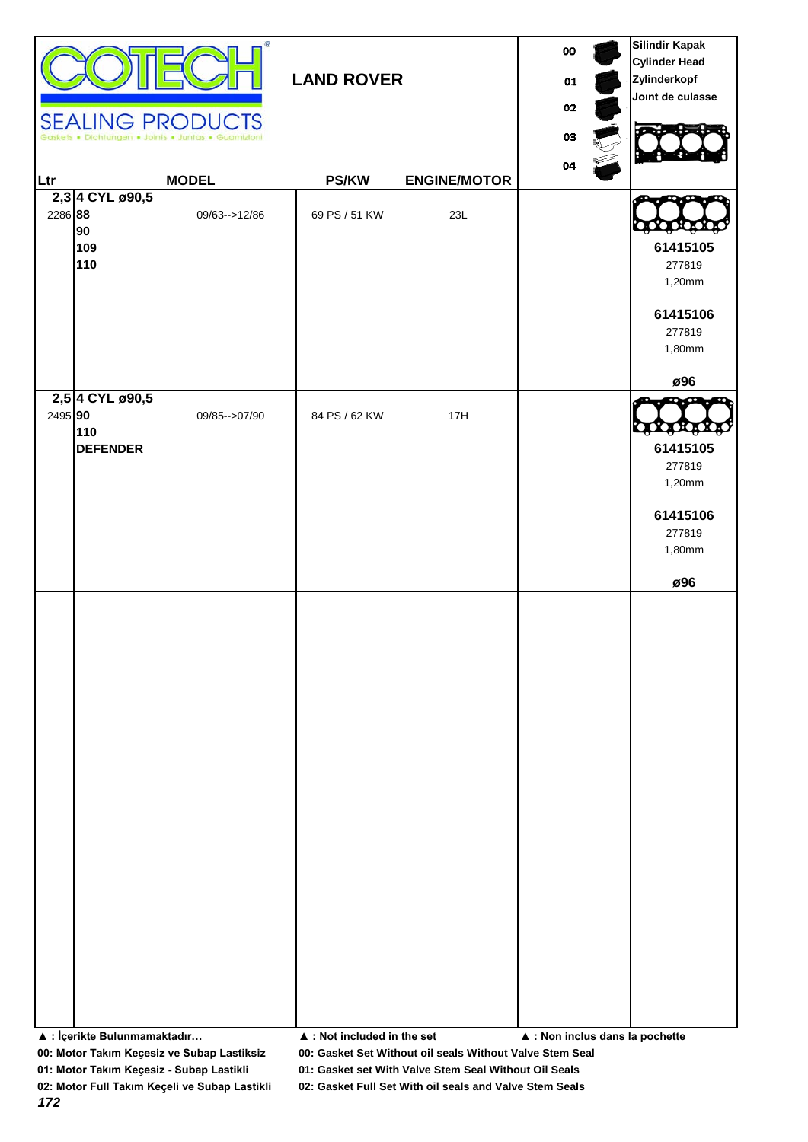|         | Dichtungen . Joints . Juntas              | œ<br><b>SEALING PRODUCTS</b> | 00<br>01<br>02<br>03                       | <b>Silindir Kapak</b><br><b>Cylinder Head</b><br>Zylinderkopf<br>Joint de culasse |                                 |                                                                             |
|---------|-------------------------------------------|------------------------------|--------------------------------------------|-----------------------------------------------------------------------------------|---------------------------------|-----------------------------------------------------------------------------|
| Ltr     |                                           | <b>MODEL</b>                 | <b>PS/KW</b>                               | <b>ENGINE/MOTOR</b>                                                               | 04                              |                                                                             |
| 2286 88 | 2,3 4 CYL ø90,5<br>90<br>109<br>110       | 09/63 -- > 12/86             | 69 PS / 51 KW                              | 23L                                                                               |                                 | 61415105<br>277819<br>1,20mm<br>61415106<br>277819<br>1,80mm                |
|         |                                           |                              |                                            |                                                                                   |                                 | ø96                                                                         |
| 2495 90 | 2,5 4 CYL ø90,5<br>110<br><b>DEFENDER</b> | 09/85 -- > 07/90             | 84 PS / 62 KW                              | 17H                                                                               |                                 | QOQO<br>61415105<br>277819<br>1,20mm<br>61415106<br>277819<br>1,80mm<br>ø96 |
|         |                                           |                              |                                            |                                                                                   |                                 |                                                                             |
|         | ▲ : İçerikte Bulunmamaktadır              |                              | $\blacktriangle$ : Not included in the set |                                                                                   | ▲ : Non inclus dans la pochette |                                                                             |

**00: Motor Takım Keçesiz ve Subap Lastiksiz 00: Gasket Set Without oil seals Without Valve Stem Seal**

**01: Motor Takım Keçesiz - Subap Lastikli 01: Gasket set With Valve Stem Seal Without Oil Seals**

*172*

**02: Motor Full Takım Keçeli ve Subap Lastikli 02: Gasket Full Set With oil seals and Valve Stem Seals**